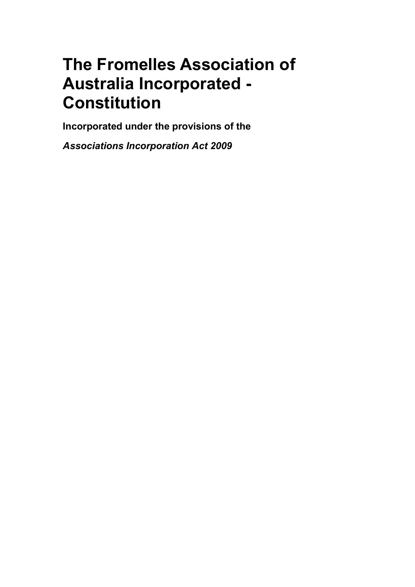# The Fromelles Association of Australia Incorporated - **Constitution**

Incorporated under the provisions of the

Associations Incorporation Act 2009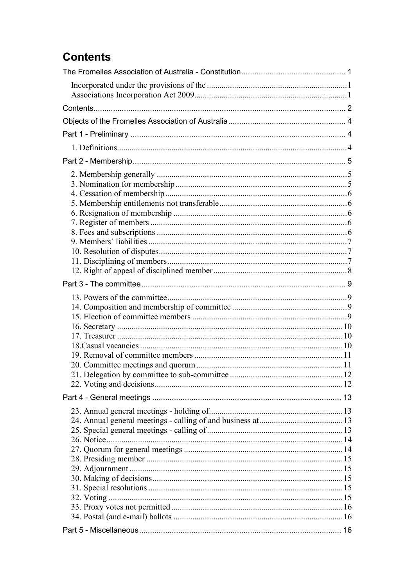# **Contents**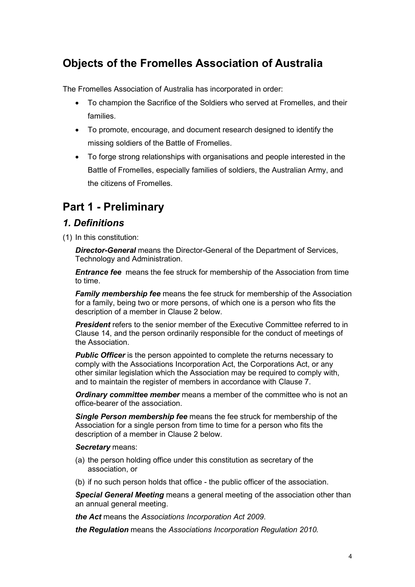# Objects of the Fromelles Association of Australia

The Fromelles Association of Australia has incorporated in order:

- To champion the Sacrifice of the Soldiers who served at Fromelles, and their families.
- To promote, encourage, and document research designed to identify the missing soldiers of the Battle of Fromelles.
- To forge strong relationships with organisations and people interested in the Battle of Fromelles, especially families of soldiers, the Australian Army, and the citizens of Fromelles.

# Part 1 - Preliminary

# 1. Definitions

(1) In this constitution:

**Director-General** means the Director-General of the Department of Services, Technology and Administration.

**Entrance fee** means the fee struck for membership of the Association from time to time.

**Family membership fee** means the fee struck for membership of the Association for a family, being two or more persons, of which one is a person who fits the description of a member in Clause 2 below.

**President** refers to the senior member of the Executive Committee referred to in Clause 14, and the person ordinarily responsible for the conduct of meetings of the Association.

**Public Officer** is the person appointed to complete the returns necessary to comply with the Associations Incorporation Act, the Corporations Act, or any other similar legislation which the Association may be required to comply with, and to maintain the register of members in accordance with Clause 7.

**Ordinary committee member** means a member of the committee who is not an office-bearer of the association.

Single Person membership fee means the fee struck for membership of the Association for a single person from time to time for a person who fits the description of a member in Clause 2 below.

#### Secretary means:

- (a) the person holding office under this constitution as secretary of the association, or
- (b) if no such person holds that office the public officer of the association.

**Special General Meeting** means a general meeting of the association other than an annual general meeting.

the Act means the Associations Incorporation Act 2009.

the Regulation means the Associations Incorporation Regulation 2010.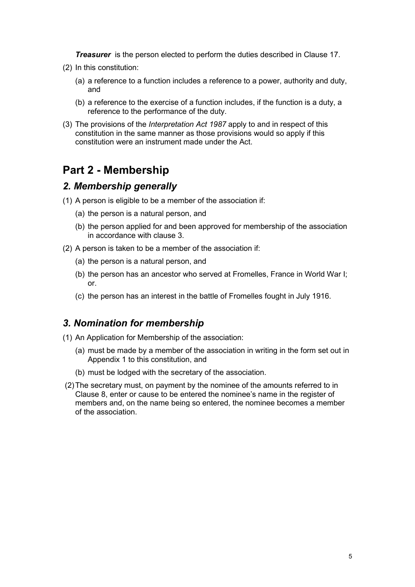**Treasurer** is the person elected to perform the duties described in Clause 17.

- (2) In this constitution:
	- (a) a reference to a function includes a reference to a power, authority and duty, and
	- (b) a reference to the exercise of a function includes, if the function is a duty, a reference to the performance of the duty.
- (3) The provisions of the Interpretation Act 1987 apply to and in respect of this constitution in the same manner as those provisions would so apply if this constitution were an instrument made under the Act.

# Part 2 - Membership

#### 2. Membership generally

- (1) A person is eligible to be a member of the association if:
	- (a) the person is a natural person, and
	- (b) the person applied for and been approved for membership of the association in accordance with clause 3.
- (2) A person is taken to be a member of the association if:
	- (a) the person is a natural person, and
	- (b) the person has an ancestor who served at Fromelles, France in World War I; or.
	- (c) the person has an interest in the battle of Fromelles fought in July 1916.

#### 3. Nomination for membership

- (1) An Application for Membership of the association:
	- (a) must be made by a member of the association in writing in the form set out in Appendix 1 to this constitution, and
	- (b) must be lodged with the secretary of the association.
- (2) The secretary must, on payment by the nominee of the amounts referred to in Clause 8, enter or cause to be entered the nominee's name in the register of members and, on the name being so entered, the nominee becomes a member of the association.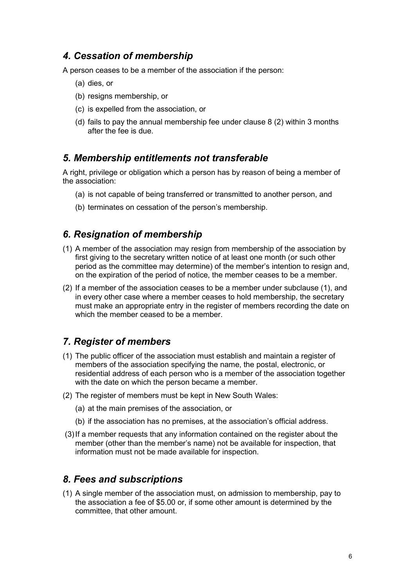# 4. Cessation of membership

A person ceases to be a member of the association if the person:

- (a) dies, or
- (b) resigns membership, or
- (c) is expelled from the association, or
- (d) fails to pay the annual membership fee under clause 8 (2) within 3 months after the fee is due.

#### 5. Membership entitlements not transferable

A right, privilege or obligation which a person has by reason of being a member of the association:

- (a) is not capable of being transferred or transmitted to another person, and
- (b) terminates on cessation of the person's membership.

### 6. Resignation of membership

- (1) A member of the association may resign from membership of the association by first giving to the secretary written notice of at least one month (or such other period as the committee may determine) of the member's intention to resign and, on the expiration of the period of notice, the member ceases to be a member.
- (2) If a member of the association ceases to be a member under subclause (1), and in every other case where a member ceases to hold membership, the secretary must make an appropriate entry in the register of members recording the date on which the member ceased to be a member.

# 7. Register of members

- (1) The public officer of the association must establish and maintain a register of members of the association specifying the name, the postal, electronic, or residential address of each person who is a member of the association together with the date on which the person became a member.
- (2) The register of members must be kept in New South Wales:
	- (a) at the main premises of the association, or
	- (b) if the association has no premises, at the association's official address.
- (3) If a member requests that any information contained on the register about the member (other than the member's name) not be available for inspection, that information must not be made available for inspection.

# 8. Fees and subscriptions

(1) A single member of the association must, on admission to membership, pay to the association a fee of \$5.00 or, if some other amount is determined by the committee, that other amount.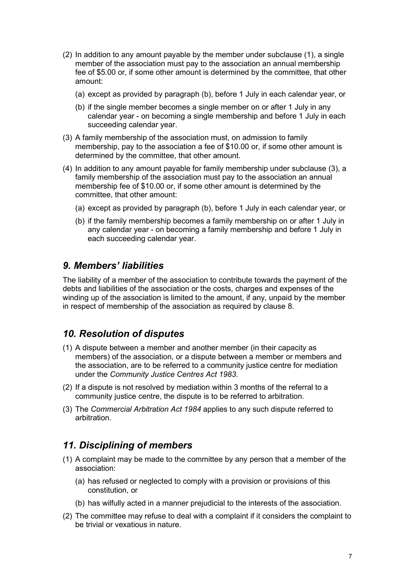- (2) In addition to any amount payable by the member under subclause (1), a single member of the association must pay to the association an annual membership fee of \$5.00 or, if some other amount is determined by the committee, that other amount:
	- (a) except as provided by paragraph (b), before 1 July in each calendar year, or
	- (b) if the single member becomes a single member on or after 1 July in any calendar year - on becoming a single membership and before 1 July in each succeeding calendar year.
- (3) A family membership of the association must, on admission to family membership, pay to the association a fee of \$10.00 or, if some other amount is determined by the committee, that other amount.
- (4) In addition to any amount payable for family membership under subclause (3), a family membership of the association must pay to the association an annual membership fee of \$10.00 or, if some other amount is determined by the committee, that other amount:
	- (a) except as provided by paragraph (b), before 1 July in each calendar year, or
	- (b) if the family membership becomes a family membership on or after 1 July in any calendar year - on becoming a family membership and before 1 July in each succeeding calendar year.

### 9. Members' liabilities

The liability of a member of the association to contribute towards the payment of the debts and liabilities of the association or the costs, charges and expenses of the winding up of the association is limited to the amount, if any, unpaid by the member in respect of membership of the association as required by clause 8.

# 10. Resolution of disputes

- (1) A dispute between a member and another member (in their capacity as members) of the association, or a dispute between a member or members and the association, are to be referred to a community justice centre for mediation under the Community Justice Centres Act 1983.
- (2) If a dispute is not resolved by mediation within 3 months of the referral to a community justice centre, the dispute is to be referred to arbitration.
- (3) The Commercial Arbitration Act 1984 applies to any such dispute referred to arbitration.

# 11. Disciplining of members

- (1) A complaint may be made to the committee by any person that a member of the association:
	- (a) has refused or neglected to comply with a provision or provisions of this constitution, or
	- (b) has wilfully acted in a manner prejudicial to the interests of the association.
- (2) The committee may refuse to deal with a complaint if it considers the complaint to be trivial or vexatious in nature.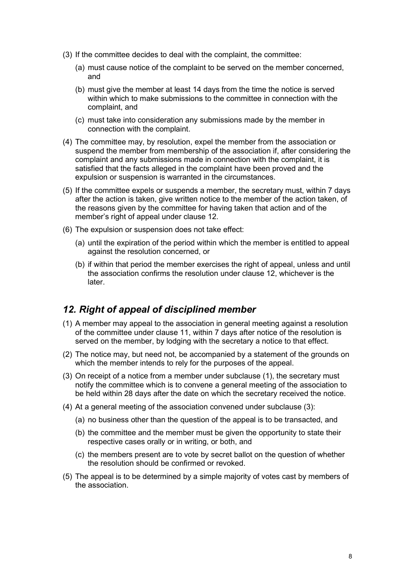- (3) If the committee decides to deal with the complaint, the committee:
	- (a) must cause notice of the complaint to be served on the member concerned, and
	- (b) must give the member at least 14 days from the time the notice is served within which to make submissions to the committee in connection with the complaint, and
	- (c) must take into consideration any submissions made by the member in connection with the complaint.
- (4) The committee may, by resolution, expel the member from the association or suspend the member from membership of the association if, after considering the complaint and any submissions made in connection with the complaint, it is satisfied that the facts alleged in the complaint have been proved and the expulsion or suspension is warranted in the circumstances.
- (5) If the committee expels or suspends a member, the secretary must, within 7 days after the action is taken, give written notice to the member of the action taken, of the reasons given by the committee for having taken that action and of the member's right of appeal under clause 12.
- (6) The expulsion or suspension does not take effect:
	- (a) until the expiration of the period within which the member is entitled to appeal against the resolution concerned, or
	- (b) if within that period the member exercises the right of appeal, unless and until the association confirms the resolution under clause 12, whichever is the later.

#### 12. Right of appeal of disciplined member

- (1) A member may appeal to the association in general meeting against a resolution of the committee under clause 11, within 7 days after notice of the resolution is served on the member, by lodging with the secretary a notice to that effect.
- (2) The notice may, but need not, be accompanied by a statement of the grounds on which the member intends to rely for the purposes of the appeal.
- (3) On receipt of a notice from a member under subclause (1), the secretary must notify the committee which is to convene a general meeting of the association to be held within 28 days after the date on which the secretary received the notice.
- (4) At a general meeting of the association convened under subclause (3):
	- (a) no business other than the question of the appeal is to be transacted, and
	- (b) the committee and the member must be given the opportunity to state their respective cases orally or in writing, or both, and
	- (c) the members present are to vote by secret ballot on the question of whether the resolution should be confirmed or revoked.
- (5) The appeal is to be determined by a simple majority of votes cast by members of the association.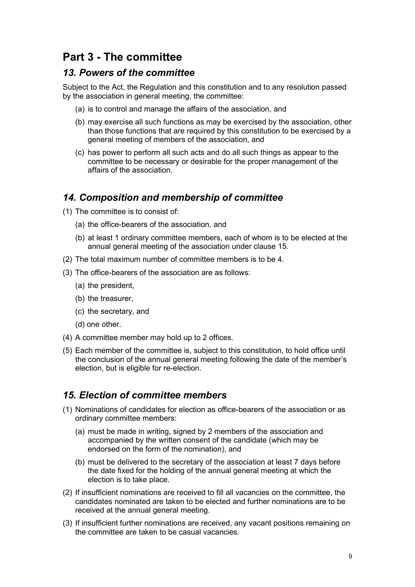# Part 3 - The committee

# 13. Powers of the committee

Subject to the Act, the Regulation and this constitution and to any resolution passed by the association in general meeting, the committee:

- (a) is to control and manage the affairs of the association, and
- (b) may exercise all such functions as may be exercised by the association, other than those functions that are required by this constitution to be exercised by a general meeting of members of the association, and
- (c) has power to perform all such acts and do all such things as appear to the committee to be necessary or desirable for the proper management of the affairs of the association.

# 14. Composition and membership of committee

- (1) The committee is to consist of:
	- (a) the office-bearers of the association, and
	- (b) at least 1 ordinary committee members, each of whom is to be elected at the annual general meeting of the association under clause 15.
- (2) The total maximum number of committee members is to be 4.
- (3) The office-bearers of the association are as follows:
	- (a) the president,
	- (b) the treasurer,
	- (c) the secretary, and
	- (d) one other.
- (4) A committee member may hold up to 2 offices.
- (5) Each member of the committee is, subject to this constitution, to hold office until the conclusion of the annual general meeting following the date of the member's election, but is eligible for re-election.

## 15. Election of committee members

- (1) Nominations of candidates for election as office-bearers of the association or as ordinary committee members:
	- (a) must be made in writing, signed by 2 members of the association and accompanied by the written consent of the candidate (which may be endorsed on the form of the nomination), and
	- (b) must be delivered to the secretary of the association at least 7 days before the date fixed for the holding of the annual general meeting at which the election is to take place.
- (2) If insufficient nominations are received to fill all vacancies on the committee, the candidates nominated are taken to be elected and further nominations are to be received at the annual general meeting.
- (3) If insufficient further nominations are received, any vacant positions remaining on the committee are taken to be casual vacancies.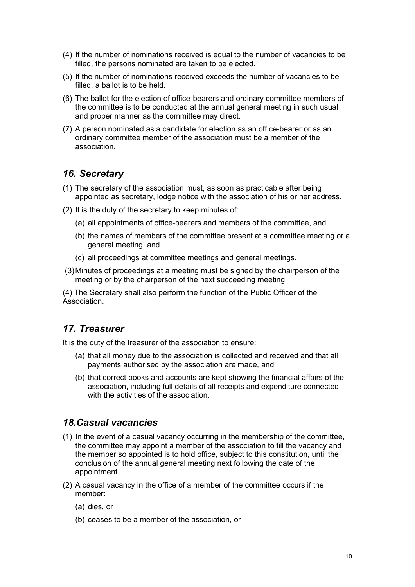- (4) If the number of nominations received is equal to the number of vacancies to be filled, the persons nominated are taken to be elected.
- (5) If the number of nominations received exceeds the number of vacancies to be filled, a ballot is to be held.
- (6) The ballot for the election of office-bearers and ordinary committee members of the committee is to be conducted at the annual general meeting in such usual and proper manner as the committee may direct.
- (7) A person nominated as a candidate for election as an office-bearer or as an ordinary committee member of the association must be a member of the association.

### 16. Secretary

- (1) The secretary of the association must, as soon as practicable after being appointed as secretary, lodge notice with the association of his or her address.
- (2) It is the duty of the secretary to keep minutes of:
	- (a) all appointments of office-bearers and members of the committee, and
	- (b) the names of members of the committee present at a committee meeting or a general meeting, and
	- (c) all proceedings at committee meetings and general meetings.
- (3) Minutes of proceedings at a meeting must be signed by the chairperson of the meeting or by the chairperson of the next succeeding meeting.

(4) The Secretary shall also perform the function of the Public Officer of the Association.

### 17. Treasurer

It is the duty of the treasurer of the association to ensure:

- (a) that all money due to the association is collected and received and that all payments authorised by the association are made, and
- (b) that correct books and accounts are kept showing the financial affairs of the association, including full details of all receipts and expenditure connected with the activities of the association.

#### 18.Casual vacancies

- (1) In the event of a casual vacancy occurring in the membership of the committee, the committee may appoint a member of the association to fill the vacancy and the member so appointed is to hold office, subject to this constitution, until the conclusion of the annual general meeting next following the date of the appointment.
- (2) A casual vacancy in the office of a member of the committee occurs if the member:
	- (a) dies, or
	- (b) ceases to be a member of the association, or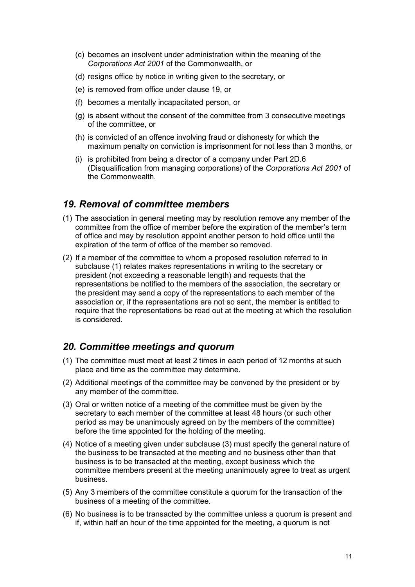- (c) becomes an insolvent under administration within the meaning of the Corporations Act 2001 of the Commonwealth, or
- (d) resigns office by notice in writing given to the secretary, or
- (e) is removed from office under clause 19, or
- (f) becomes a mentally incapacitated person, or
- (g) is absent without the consent of the committee from 3 consecutive meetings of the committee, or
- (h) is convicted of an offence involving fraud or dishonesty for which the maximum penalty on conviction is imprisonment for not less than 3 months, or
- (i) is prohibited from being a director of a company under Part 2D.6 (Disqualification from managing corporations) of the Corporations Act 2001 of the Commonwealth.

### 19. Removal of committee members

- (1) The association in general meeting may by resolution remove any member of the committee from the office of member before the expiration of the member's term of office and may by resolution appoint another person to hold office until the expiration of the term of office of the member so removed.
- (2) If a member of the committee to whom a proposed resolution referred to in subclause (1) relates makes representations in writing to the secretary or president (not exceeding a reasonable length) and requests that the representations be notified to the members of the association, the secretary or the president may send a copy of the representations to each member of the association or, if the representations are not so sent, the member is entitled to require that the representations be read out at the meeting at which the resolution is considered.

# 20. Committee meetings and quorum

- (1) The committee must meet at least 2 times in each period of 12 months at such place and time as the committee may determine.
- (2) Additional meetings of the committee may be convened by the president or by any member of the committee.
- (3) Oral or written notice of a meeting of the committee must be given by the secretary to each member of the committee at least 48 hours (or such other period as may be unanimously agreed on by the members of the committee) before the time appointed for the holding of the meeting.
- (4) Notice of a meeting given under subclause (3) must specify the general nature of the business to be transacted at the meeting and no business other than that business is to be transacted at the meeting, except business which the committee members present at the meeting unanimously agree to treat as urgent business.
- (5) Any 3 members of the committee constitute a quorum for the transaction of the business of a meeting of the committee.
- (6) No business is to be transacted by the committee unless a quorum is present and if, within half an hour of the time appointed for the meeting, a quorum is not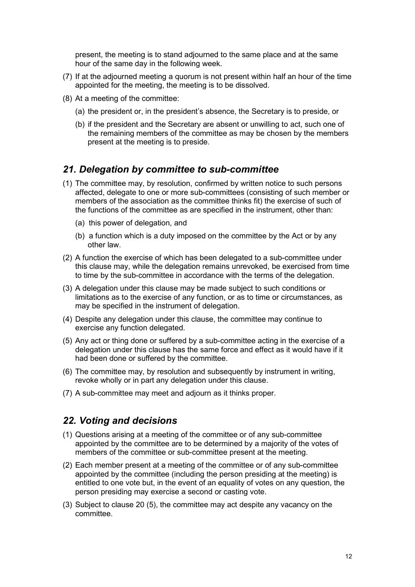present, the meeting is to stand adjourned to the same place and at the same hour of the same day in the following week.

- (7) If at the adjourned meeting a quorum is not present within half an hour of the time appointed for the meeting, the meeting is to be dissolved.
- (8) At a meeting of the committee:
	- (a) the president or, in the president's absence, the Secretary is to preside, or
	- (b) if the president and the Secretary are absent or unwilling to act, such one of the remaining members of the committee as may be chosen by the members present at the meeting is to preside.

#### 21. Delegation by committee to sub-committee

- (1) The committee may, by resolution, confirmed by written notice to such persons affected, delegate to one or more sub-committees (consisting of such member or members of the association as the committee thinks fit) the exercise of such of the functions of the committee as are specified in the instrument, other than:
	- (a) this power of delegation, and
	- (b) a function which is a duty imposed on the committee by the Act or by any other law.
- (2) A function the exercise of which has been delegated to a sub-committee under this clause may, while the delegation remains unrevoked, be exercised from time to time by the sub-committee in accordance with the terms of the delegation.
- (3) A delegation under this clause may be made subject to such conditions or limitations as to the exercise of any function, or as to time or circumstances, as may be specified in the instrument of delegation.
- (4) Despite any delegation under this clause, the committee may continue to exercise any function delegated.
- (5) Any act or thing done or suffered by a sub-committee acting in the exercise of a delegation under this clause has the same force and effect as it would have if it had been done or suffered by the committee.
- (6) The committee may, by resolution and subsequently by instrument in writing, revoke wholly or in part any delegation under this clause.
- (7) A sub-committee may meet and adjourn as it thinks proper.

#### 22. Voting and decisions

- (1) Questions arising at a meeting of the committee or of any sub-committee appointed by the committee are to be determined by a majority of the votes of members of the committee or sub-committee present at the meeting.
- (2) Each member present at a meeting of the committee or of any sub-committee appointed by the committee (including the person presiding at the meeting) is entitled to one vote but, in the event of an equality of votes on any question, the person presiding may exercise a second or casting vote.
- (3) Subject to clause 20 (5), the committee may act despite any vacancy on the committee.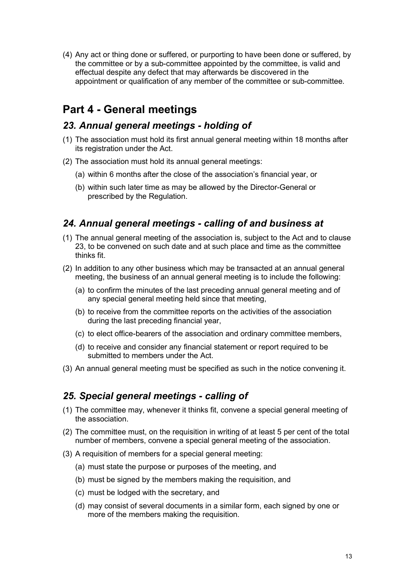(4) Any act or thing done or suffered, or purporting to have been done or suffered, by the committee or by a sub-committee appointed by the committee, is valid and effectual despite any defect that may afterwards be discovered in the appointment or qualification of any member of the committee or sub-committee.

# Part 4 - General meetings

# 23. Annual general meetings - holding of

- (1) The association must hold its first annual general meeting within 18 months after its registration under the Act.
- (2) The association must hold its annual general meetings:
	- (a) within 6 months after the close of the association's financial year, or
	- (b) within such later time as may be allowed by the Director-General or prescribed by the Regulation.

# 24. Annual general meetings - calling of and business at

- (1) The annual general meeting of the association is, subject to the Act and to clause 23, to be convened on such date and at such place and time as the committee thinks fit.
- (2) In addition to any other business which may be transacted at an annual general meeting, the business of an annual general meeting is to include the following:
	- (a) to confirm the minutes of the last preceding annual general meeting and of any special general meeting held since that meeting,
	- (b) to receive from the committee reports on the activities of the association during the last preceding financial year,
	- (c) to elect office-bearers of the association and ordinary committee members,
	- (d) to receive and consider any financial statement or report required to be submitted to members under the Act.
- (3) An annual general meeting must be specified as such in the notice convening it.

# 25. Special general meetings - calling of

- (1) The committee may, whenever it thinks fit, convene a special general meeting of the association.
- (2) The committee must, on the requisition in writing of at least 5 per cent of the total number of members, convene a special general meeting of the association.
- (3) A requisition of members for a special general meeting:
	- (a) must state the purpose or purposes of the meeting, and
	- (b) must be signed by the members making the requisition, and
	- (c) must be lodged with the secretary, and
	- (d) may consist of several documents in a similar form, each signed by one or more of the members making the requisition.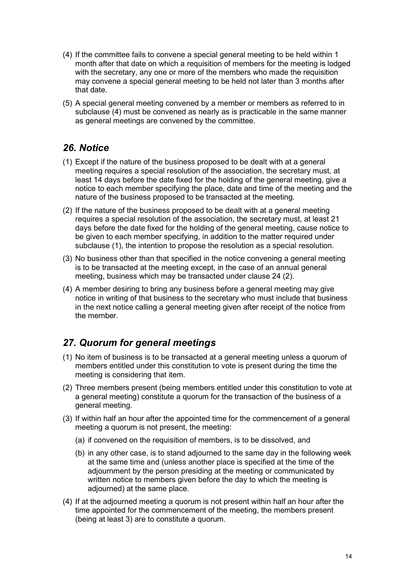- (4) If the committee fails to convene a special general meeting to be held within 1 month after that date on which a requisition of members for the meeting is lodged with the secretary, any one or more of the members who made the requisition may convene a special general meeting to be held not later than 3 months after that date.
- (5) A special general meeting convened by a member or members as referred to in subclause (4) must be convened as nearly as is practicable in the same manner as general meetings are convened by the committee.

# 26. Notice

- (1) Except if the nature of the business proposed to be dealt with at a general meeting requires a special resolution of the association, the secretary must, at least 14 days before the date fixed for the holding of the general meeting, give a notice to each member specifying the place, date and time of the meeting and the nature of the business proposed to be transacted at the meeting.
- (2) If the nature of the business proposed to be dealt with at a general meeting requires a special resolution of the association, the secretary must, at least 21 days before the date fixed for the holding of the general meeting, cause notice to be given to each member specifying, in addition to the matter required under subclause (1), the intention to propose the resolution as a special resolution.
- (3) No business other than that specified in the notice convening a general meeting is to be transacted at the meeting except, in the case of an annual general meeting, business which may be transacted under clause 24 (2).
- (4) A member desiring to bring any business before a general meeting may give notice in writing of that business to the secretary who must include that business in the next notice calling a general meeting given after receipt of the notice from the member.

# 27. Quorum for general meetings

- (1) No item of business is to be transacted at a general meeting unless a quorum of members entitled under this constitution to vote is present during the time the meeting is considering that item.
- (2) Three members present (being members entitled under this constitution to vote at a general meeting) constitute a quorum for the transaction of the business of a general meeting.
- (3) If within half an hour after the appointed time for the commencement of a general meeting a quorum is not present, the meeting:
	- (a) if convened on the requisition of members, is to be dissolved, and
	- (b) in any other case, is to stand adjourned to the same day in the following week at the same time and (unless another place is specified at the time of the adjournment by the person presiding at the meeting or communicated by written notice to members given before the day to which the meeting is adjourned) at the same place.
- (4) If at the adjourned meeting a quorum is not present within half an hour after the time appointed for the commencement of the meeting, the members present (being at least 3) are to constitute a quorum.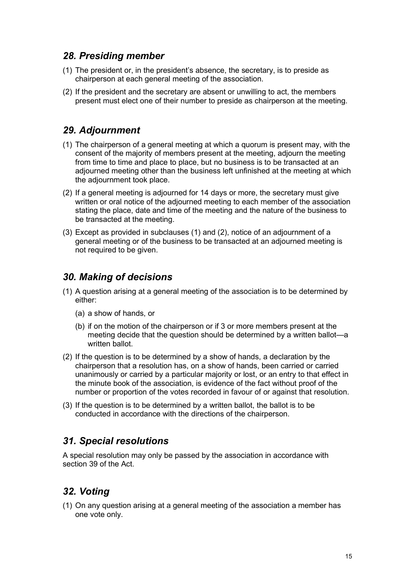## 28. Presiding member

- (1) The president or, in the president's absence, the secretary, is to preside as chairperson at each general meeting of the association.
- (2) If the president and the secretary are absent or unwilling to act, the members present must elect one of their number to preside as chairperson at the meeting.

# 29. Adjournment

- (1) The chairperson of a general meeting at which a quorum is present may, with the consent of the majority of members present at the meeting, adjourn the meeting from time to time and place to place, but no business is to be transacted at an adjourned meeting other than the business left unfinished at the meeting at which the adjournment took place.
- (2) If a general meeting is adjourned for 14 days or more, the secretary must give written or oral notice of the adjourned meeting to each member of the association stating the place, date and time of the meeting and the nature of the business to be transacted at the meeting.
- (3) Except as provided in subclauses (1) and (2), notice of an adjournment of a general meeting or of the business to be transacted at an adjourned meeting is not required to be given.

# 30. Making of decisions

- (1) A question arising at a general meeting of the association is to be determined by either:
	- (a) a show of hands, or
	- (b) if on the motion of the chairperson or if 3 or more members present at the meeting decide that the question should be determined by a written ballot—a written ballot.
- (2) If the question is to be determined by a show of hands, a declaration by the chairperson that a resolution has, on a show of hands, been carried or carried unanimously or carried by a particular majority or lost, or an entry to that effect in the minute book of the association, is evidence of the fact without proof of the number or proportion of the votes recorded in favour of or against that resolution.
- (3) If the question is to be determined by a written ballot, the ballot is to be conducted in accordance with the directions of the chairperson.

# 31. Special resolutions

A special resolution may only be passed by the association in accordance with section 39 of the Act.

# 32. Voting

(1) On any question arising at a general meeting of the association a member has one vote only.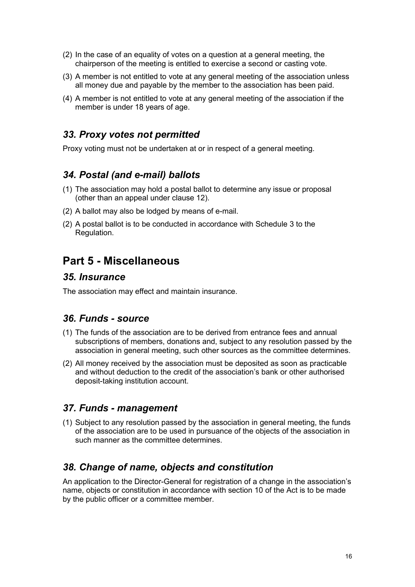- (2) In the case of an equality of votes on a question at a general meeting, the chairperson of the meeting is entitled to exercise a second or casting vote.
- (3) A member is not entitled to vote at any general meeting of the association unless all money due and payable by the member to the association has been paid.
- (4) A member is not entitled to vote at any general meeting of the association if the member is under 18 years of age.

# 33. Proxy votes not permitted

Proxy voting must not be undertaken at or in respect of a general meeting.

# 34. Postal (and e-mail) ballots

- (1) The association may hold a postal ballot to determine any issue or proposal (other than an appeal under clause 12).
- (2) A ballot may also be lodged by means of e-mail.
- (2) A postal ballot is to be conducted in accordance with Schedule 3 to the Regulation.

# Part 5 - Miscellaneous

#### 35. Insurance

The association may effect and maintain insurance.

#### 36. Funds - source

- (1) The funds of the association are to be derived from entrance fees and annual subscriptions of members, donations and, subject to any resolution passed by the association in general meeting, such other sources as the committee determines.
- (2) All money received by the association must be deposited as soon as practicable and without deduction to the credit of the association's bank or other authorised deposit-taking institution account.

#### 37. Funds - management

(1) Subject to any resolution passed by the association in general meeting, the funds of the association are to be used in pursuance of the objects of the association in such manner as the committee determines.

# 38. Change of name, objects and constitution

An application to the Director-General for registration of a change in the association's name, objects or constitution in accordance with section 10 of the Act is to be made by the public officer or a committee member.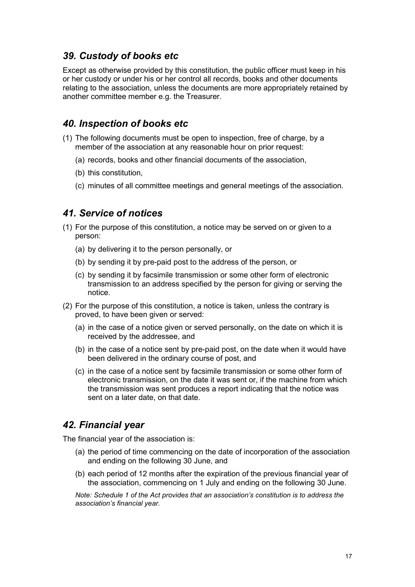# 39. Custody of books etc

Except as otherwise provided by this constitution, the public officer must keep in his or her custody or under his or her control all records, books and other documents relating to the association, unless the documents are more appropriately retained by another committee member e.g. the Treasurer.

### 40. Inspection of books etc

- (1) The following documents must be open to inspection, free of charge, by a member of the association at any reasonable hour on prior request:
	- (a) records, books and other financial documents of the association,
	- (b) this constitution,
	- (c) minutes of all committee meetings and general meetings of the association.

### 41. Service of notices

- (1) For the purpose of this constitution, a notice may be served on or given to a person:
	- (a) by delivering it to the person personally, or
	- (b) by sending it by pre-paid post to the address of the person, or
	- (c) by sending it by facsimile transmission or some other form of electronic transmission to an address specified by the person for giving or serving the notice.
- (2) For the purpose of this constitution, a notice is taken, unless the contrary is proved, to have been given or served:
	- (a) in the case of a notice given or served personally, on the date on which it is received by the addressee, and
	- (b) in the case of a notice sent by pre-paid post, on the date when it would have been delivered in the ordinary course of post, and
	- (c) in the case of a notice sent by facsimile transmission or some other form of electronic transmission, on the date it was sent or, if the machine from which the transmission was sent produces a report indicating that the notice was sent on a later date, on that date.

# 42. Financial year

The financial year of the association is:

- (a) the period of time commencing on the date of incorporation of the association and ending on the following 30 June, and
- (b) each period of 12 months after the expiration of the previous financial year of the association, commencing on 1 July and ending on the following 30 June.

Note: Schedule 1 of the Act provides that an association's constitution is to address the association's financial year.